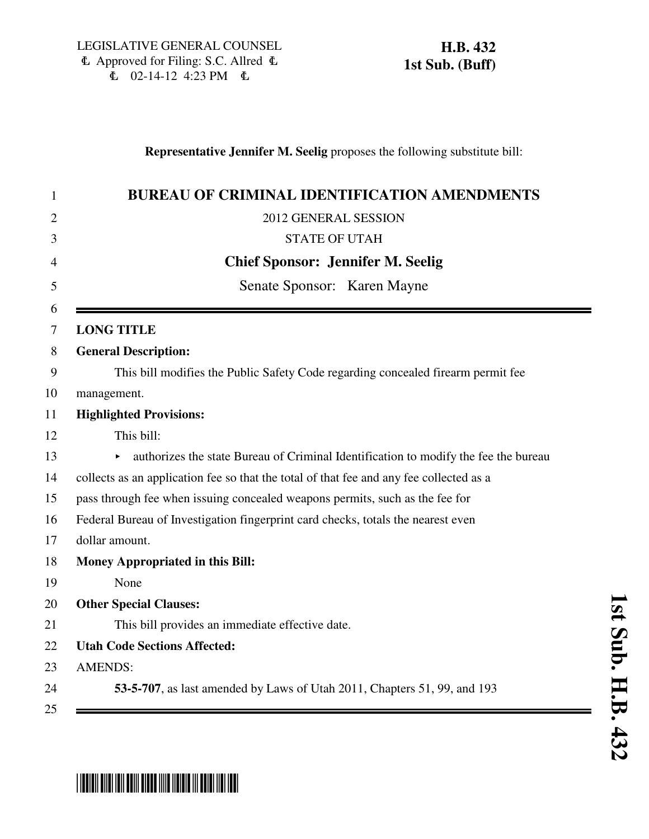## **Representative Jennifer M. Seelig** proposes the following substitute bill:

| 1              | <b>BUREAU OF CRIMINAL IDENTIFICATION AMENDMENTS</b>                                     |
|----------------|-----------------------------------------------------------------------------------------|
| $\overline{2}$ | 2012 GENERAL SESSION                                                                    |
| 3              | <b>STATE OF UTAH</b>                                                                    |
| 4              | <b>Chief Sponsor: Jennifer M. Seelig</b>                                                |
| 5              | Senate Sponsor: Karen Mayne                                                             |
| 6              |                                                                                         |
| 7              | <b>LONG TITLE</b>                                                                       |
| 8              | <b>General Description:</b>                                                             |
| 9              | This bill modifies the Public Safety Code regarding concealed firearm permit fee        |
| 10             | management.                                                                             |
| 11             | <b>Highlighted Provisions:</b>                                                          |
| 12             | This bill:                                                                              |
| 13             | authorizes the state Bureau of Criminal Identification to modify the fee the bureau     |
| 14             | collects as an application fee so that the total of that fee and any fee collected as a |
| 15             | pass through fee when issuing concealed weapons permits, such as the fee for            |
| 16             | Federal Bureau of Investigation fingerprint card checks, totals the nearest even        |
| 17             | dollar amount.                                                                          |
| 18             | <b>Money Appropriated in this Bill:</b>                                                 |
| 19             | None                                                                                    |
| 20             | <b>Other Special Clauses:</b>                                                           |
| 21             | This bill provides an immediate effective date.                                         |
| 22             | <b>Utah Code Sections Affected:</b>                                                     |
| 23             | <b>AMENDS:</b>                                                                          |
| 24             | 53-5-707, as last amended by Laws of Utah 2011, Chapters 51, 99, and 193                |
| 25             |                                                                                         |

## \*HB0432S01\*